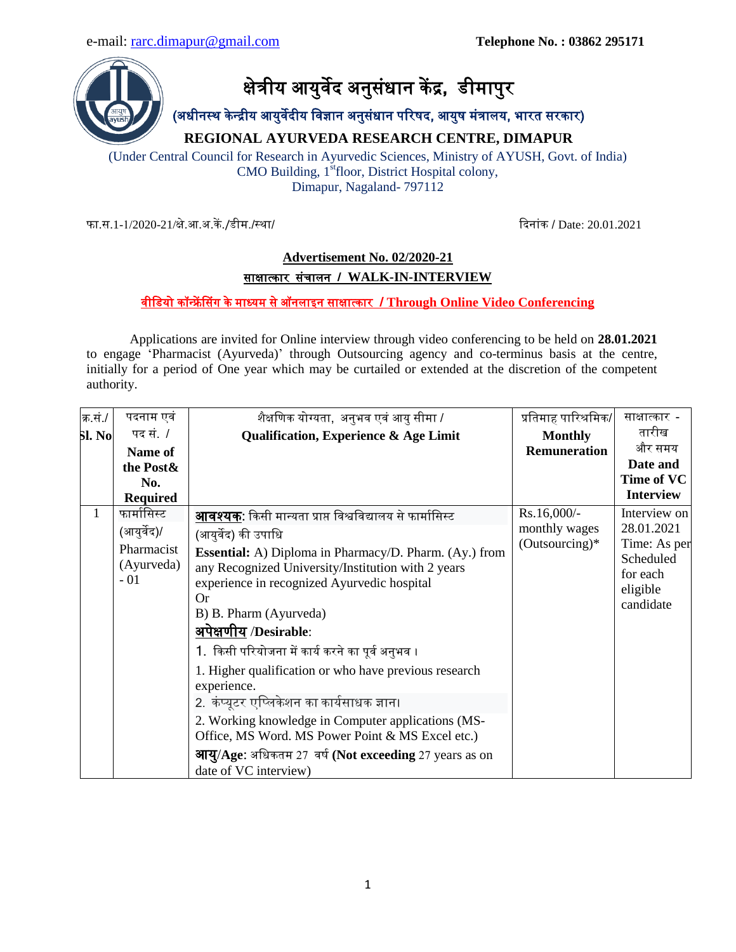

(अधीनस्थ के न्द्द्रीय आयुर्वेदीय वर्वज्ञान अनुसंधान पररषद, आयुष मंत्रालय, भारत सरकार)

**REGIONAL AYURVEDA RESEARCH CENTRE, DIMAPUR**

(Under Central Council for Research in Ayurvedic Sciences, Ministry of AYUSH, Govt. of India) CMO Building, 1<sup>st</sup>floor, District Hospital colony, Dimapur, Nagaland- 797112

फा.स.1-1/2020-21/क्षे.आ.अ.कें./डीम./स्था/ बिनांक / Date: 20.01.2021

## **Advertisement No. 02/2020-21** साक्षात्कार संचालन **/ WALK-IN-INTERVIEW**

## र्वीवडयो कॉन्द्रें ससंग के माध्यम से ऑनलाइन साक्षात्कार **/ Through Online Video Conferencing**

Applications are invited for Online interview through video conferencing to be held on **28.01.2021** to engage 'Pharmacist (Ayurveda)' through Outsourcing agency and co-terminus basis at the centre, initially for a period of One year which may be curtailed or extended at the discretion of the competent authority.

| क.सं <i>.।</i> | पदनाम एवं       | शैक्षणिक योग्यता, अनुभव एवं आयु सीमा /                            | प्रतिमाह पारिश्रमिक/         | साक्षात्कार -              |
|----------------|-----------------|-------------------------------------------------------------------|------------------------------|----------------------------|
| <b>Sl. No</b>  | पद सं. <i>।</i> | Qualification, Experience & Age Limit                             | <b>Monthly</b>               | तारीख                      |
|                | Name of         |                                                                   | <b>Remuneration</b>          | और समय                     |
|                | the Post &      |                                                                   |                              | Date and                   |
|                | No.             |                                                                   |                              | Time of VC                 |
|                | <b>Required</b> |                                                                   |                              | <b>Interview</b>           |
| $\mathbf{1}$   | फार्मासिस्ट     | <b>आवश्यक</b> : किसी मान्यता प्राप्त विश्वविद्यालय से फार्मासिस्ट | Rs.16,000/-<br>monthly wages | Interview on<br>28.01.2021 |
|                | (आयुर्वेद)/     | (आयुर्वेद) की उपाधि                                               |                              |                            |
|                | Pharmacist      | <b>Essential:</b> A) Diploma in Pharmacy/D. Pharm. (Ay.) from     | $(Outsourcing)*$             | Time: As per<br>Scheduled  |
|                | (Ayurveda)      | any Recognized University/Institution with 2 years                |                              | for each                   |
|                | $-01$           | experience in recognized Ayurvedic hospital                       |                              | eligible                   |
|                |                 | Or                                                                |                              | candidate                  |
|                |                 | B) B. Pharm (Ayurveda)                                            |                              |                            |
|                |                 | अपेक्षणीय /Desirable:                                             |                              |                            |
|                |                 | 1.  किसी परियोजना में कार्य करने का पूर्व अनुभव ।                 |                              |                            |
|                |                 | 1. Higher qualification or who have previous research             |                              |                            |
|                |                 | experience.                                                       |                              |                            |
|                |                 | 2. कंप्यूटर एप्लिकेशन का कार्यसाधक ज्ञान।                         |                              |                            |
|                |                 | 2. Working knowledge in Computer applications (MS-                |                              |                            |
|                |                 | Office, MS Word. MS Power Point & MS Excel etc.)                  |                              |                            |
|                |                 | <b>आयु/Age:</b> अधिकतम 27 वर्ष (Not exceeding 27 years as on      |                              |                            |
|                |                 | date of VC interview)                                             |                              |                            |